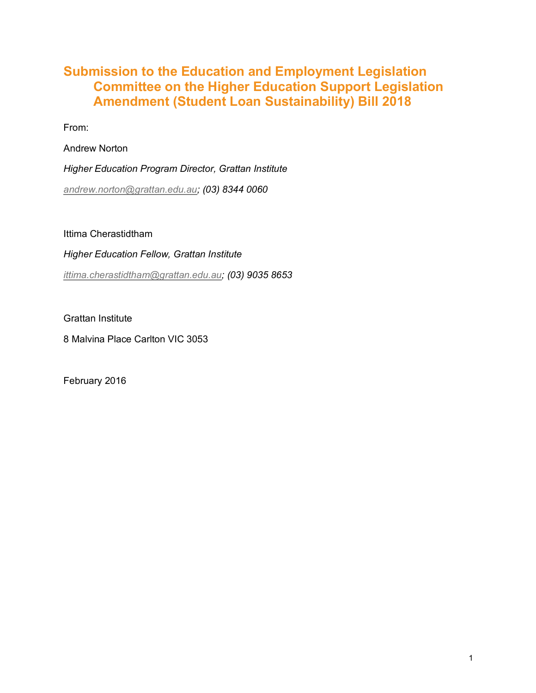## **Submission to the Education and Employment Legislation Committee on the Higher Education Support Legislation Amendment (Student Loan Sustainability) Bill 2018**

From:

Andrew Norton

*Higher Education Program Director, Grattan Institute andrew.norton@grattan.edu.au; (03) 8344 0060*

Ittima Cherastidtham

*Higher Education Fellow, Grattan Institute ittima.cherastidtham@grattan.edu.au; (03) 9035 8653*

Grattan Institute

8 Malvina Place Carlton VIC 3053

February 2016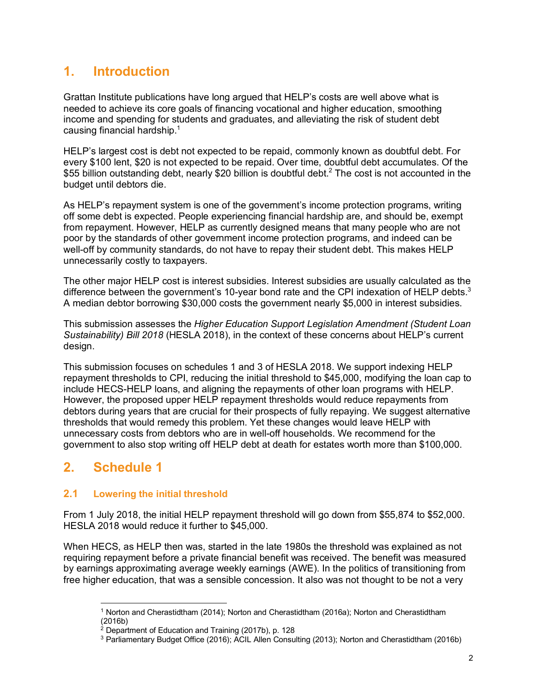# **1. Introduction**

Grattan Institute publications have long argued that HELP's costs are well above what is needed to achieve its core goals of financing vocational and higher education, smoothing income and spending for students and graduates, and alleviating the risk of student debt causing financial hardship. $1$ 

HELP's largest cost is debt not expected to be repaid, commonly known as doubtful debt. For every \$100 lent, \$20 is not expected to be repaid. Over time, doubtful debt accumulates. Of the \$55 billion outstanding debt, nearly \$20 billion is doubtful debt.<sup>2</sup> The cost is not accounted in the budget until debtors die.

As HELP's repayment system is one of the government's income protection programs, writing off some debt is expected. People experiencing financial hardship are, and should be, exempt from repayment. However, HELP as currently designed means that many people who are not poor by the standards of other government income protection programs, and indeed can be well-off by community standards, do not have to repay their student debt. This makes HELP unnecessarily costly to taxpayers.

The other major HELP cost is interest subsidies. Interest subsidies are usually calculated as the difference between the government's 10-year bond rate and the CPI indexation of HELP debts. $3$ A median debtor borrowing \$30,000 costs the government nearly \$5,000 in interest subsidies.

This submission assesses the *Higher Education Support Legislation Amendment (Student Loan Sustainability) Bill 2018* (HESLA 2018), in the context of these concerns about HELP's current design.

This submission focuses on schedules 1 and 3 of HESLA 2018. We support indexing HELP repayment thresholds to CPI, reducing the initial threshold to \$45,000, modifying the loan cap to include HECS-HELP loans, and aligning the repayments of other loan programs with HELP. However, the proposed upper HELP repayment thresholds would reduce repayments from debtors during years that are crucial for their prospects of fully repaying. We suggest alternative thresholds that would remedy this problem. Yet these changes would leave HELP with unnecessary costs from debtors who are in well-off households. We recommend for the government to also stop writing off HELP debt at death for estates worth more than \$100,000.

## **2. Schedule 1**

### **2.1 Lowering the initial threshold**

From 1 July 2018, the initial HELP repayment threshold will go down from \$55,874 to \$52,000. HESLA 2018 would reduce it further to \$45,000.

When HECS, as HELP then was, started in the late 1980s the threshold was explained as not requiring repayment before a private financial benefit was received. The benefit was measured by earnings approximating average weekly earnings (AWE). In the politics of transitioning from free higher education, that was a sensible concession. It also was not thought to be not a very

 $\overline{a}$ 1 Norton and Cherastidtham (2014); Norton and Cherastidtham (2016a); Norton and Cherastidtham (2016b)

<sup>2</sup> Department of Education and Training (2017b), p. 128

<sup>&</sup>lt;sup>3</sup> Parliamentary Budget Office (2016); ACIL Allen Consulting (2013); Norton and Cherastidtham (2016b)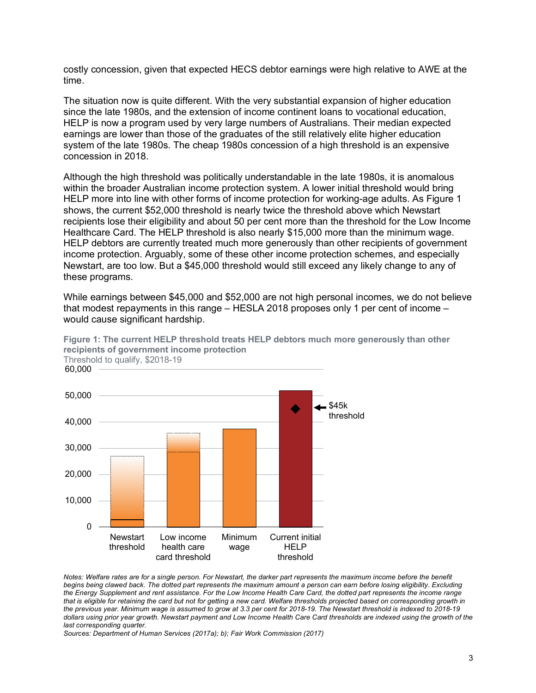costly concession, given that expected HECS debtor earnings were high relative to AWE at the time.

The situation now is quite different. With the very substantial expansion of higher education since the late 1980s, and the extension of income continent loans to vocational education, HELP is now a program used by very large numbers of Australians. Their median expected earnings are lower than those of the graduates of the still relatively elite higher education system of the late 1980s. The cheap 1980s concession of a high threshold is an expensive concession in 2018.

Although the high threshold was politically understandable in the late 1980s, it is anomalous within the broader Australian income protection system. A lower initial threshold would bring HELP more into line with other forms of income protection for working-age adults. As Figure 1 shows, the current \$52,000 threshold is nearly twice the threshold above which Newstart recipients lose their eligibility and about 50 per cent more than the threshold for the Low Income Healthcare Card. The HELP threshold is also nearly \$15,000 more than the minimum wage. HELP debtors are currently treated much more generously than other recipients of government income protection. Arguably, some of these other income protection schemes, and especially Newstart, are too low. But a \$45,000 threshold would still exceed any likely change to any of these programs.

While earnings between \$45,000 and \$52,000 are not high personal incomes, we do not believe that modest repayments in this range – HESLA 2018 proposes only 1 per cent of income – would cause significant hardship.



**Figure 1: The current HELP threshold treats HELP debtors much more generously than other recipients of government income protection** Threshold to qualify, \$2018-19

*Notes: Welfare rates are for a single person. For Newstart, the darker part represents the maximum income before the benefit begins being clawed back. The dotted part represents the maximum amount a person can earn before losing eligibility. Excluding the Energy Supplement and rent assistance. For the Low Income Health Care Card, the dotted part represents the income range that is eligible for retaining the card but not for getting a new card. Welfare thresholds projected based on corresponding growth in the previous year. Minimum wage is assumed to grow at 3.3 per cent for 2018-19. The Newstart threshold is indexed to 2018-19 dollars using prior year growth. Newstart payment and Low Income Health Care Card thresholds are indexed using the growth of the last corresponding quarter.* 

*Sources: Department of Human Services (2017a); b); Fair Work Commission (2017)*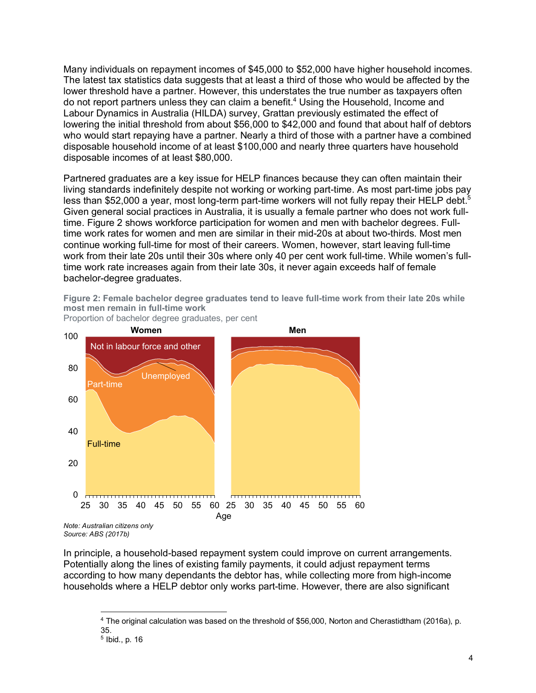Many individuals on repayment incomes of \$45,000 to \$52,000 have higher household incomes. The latest tax statistics data suggests that at least a third of those who would be affected by the lower threshold have a partner. However, this understates the true number as taxpayers often do not report partners unless they can claim a benefit.<sup>4</sup> Using the Household, Income and Labour Dynamics in Australia (HILDA) survey, Grattan previously estimated the effect of lowering the initial threshold from about \$56,000 to \$42,000 and found that about half of debtors who would start repaying have a partner. Nearly a third of those with a partner have a combined disposable household income of at least \$100,000 and nearly three quarters have household disposable incomes of at least \$80,000.

Partnered graduates are a key issue for HELP finances because they can often maintain their living standards indefinitely despite not working or working part-time. As most part-time jobs pay less than \$52,000 a year, most long-term part-time workers will not fully repay their HELP debt.<sup>5</sup> Given general social practices in Australia, it is usually a female partner who does not work fulltime. Figure 2 shows workforce participation for women and men with bachelor degrees. Fulltime work rates for women and men are similar in their mid-20s at about two-thirds. Most men continue working full-time for most of their careers. Women, however, start leaving full-time work from their late 20s until their 30s where only 40 per cent work full-time. While women's fulltime work rate increases again from their late 30s, it never again exceeds half of female bachelor-degree graduates.

**Figure 2: Female bachelor degree graduates tend to leave full-time work from their late 20s while most men remain in full-time work**



Proportion of bachelor degree graduates, per cent

*Source: ABS (2017b)*

In principle, a household-based repayment system could improve on current arrangements. Potentially along the lines of existing family payments, it could adjust repayment terms according to how many dependants the debtor has, while collecting more from high-income households where a HELP debtor only works part-time. However, there are also significant

 $\overline{a}$ 4 The original calculation was based on the threshold of \$56,000, Norton and Cherastidtham (2016a), p. 35.

<sup>5</sup> Ibid., p. 16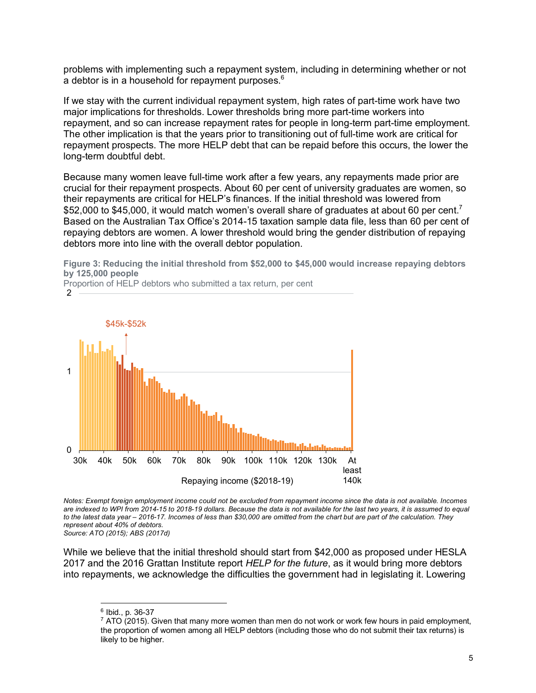problems with implementing such a repayment system, including in determining whether or not a debtor is in a household for repayment purposes.<sup>6</sup>

If we stay with the current individual repayment system, high rates of part-time work have two major implications for thresholds. Lower thresholds bring more part-time workers into repayment, and so can increase repayment rates for people in long-term part-time employment. The other implication is that the years prior to transitioning out of full-time work are critical for repayment prospects. The more HELP debt that can be repaid before this occurs, the lower the long-term doubtful debt.

Because many women leave full-time work after a few years, any repayments made prior are crucial for their repayment prospects. About 60 per cent of university graduates are women, so their repayments are critical for HELP's finances. If the initial threshold was lowered from \$52,000 to \$45,000, it would match women's overall share of graduates at about 60 per cent.<sup>7</sup> Based on the Australian Tax Office's 2014-15 taxation sample data file, less than 60 per cent of repaying debtors are women. A lower threshold would bring the gender distribution of repaying debtors more into line with the overall debtor population.

**Figure 3: Reducing the initial threshold from \$52,000 to \$45,000 would increase repaying debtors by 125,000 people**



Proportion of HELP debtors who submitted a tax return, per cent

*Notes: Exempt foreign employment income could not be excluded from repayment income since the data is not available. Incomes are indexed to WPI from 2014-15 to 2018-19 dollars. Because the data is not available for the last two years, it is assumed to equal to the latest data year – 2016-17. Incomes of less than \$30,000 are omitted from the chart but are part of the calculation. They represent about 40% of debtors.*

*Source: ATO (2015); ABS (2017d)*

While we believe that the initial threshold should start from \$42,000 as proposed under HESLA 2017 and the 2016 Grattan Institute report *HELP for the future*, as it would bring more debtors into repayments, we acknowledge the difficulties the government had in legislating it. Lowering

 $\overline{a}$ 6 Ibid., p. 36-37

 $7$  ATO (2015). Given that many more women than men do not work or work few hours in paid employment, the proportion of women among all HELP debtors (including those who do not submit their tax returns) is likely to be higher.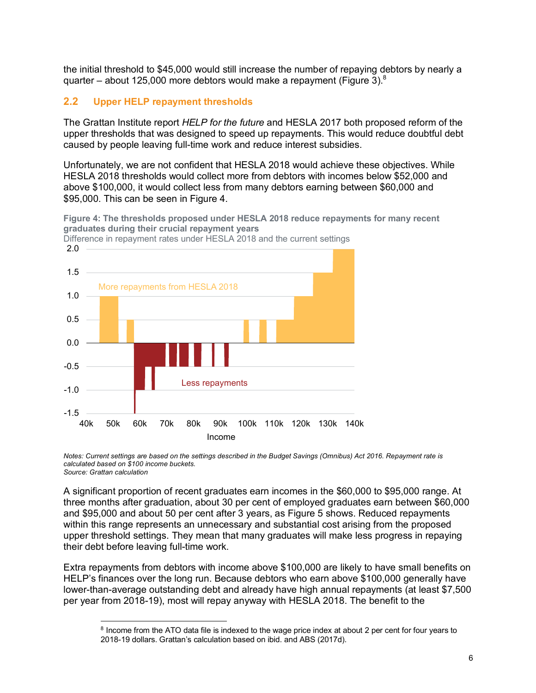the initial threshold to \$45,000 would still increase the number of repaying debtors by nearly a quarter – about 125,000 more debtors would make a repayment (Figure 3). $8$ 

### **2.2 Upper HELP repayment thresholds**

 $\overline{a}$ 

The Grattan Institute report *HELP for the future* and HESLA 2017 both proposed reform of the upper thresholds that was designed to speed up repayments. This would reduce doubtful debt caused by people leaving full-time work and reduce interest subsidies.

Unfortunately, we are not confident that HESLA 2018 would achieve these objectives. While HESLA 2018 thresholds would collect more from debtors with incomes below \$52,000 and above \$100,000, it would collect less from many debtors earning between \$60,000 and \$95,000. This can be seen in Figure 4.

**Figure 4: The thresholds proposed under HESLA 2018 reduce repayments for many recent graduates during their crucial repayment years**



Difference in repayment rates under HESLA 2018 and the current settings

*Notes: Current settings are based on the settings described in the Budget Savings (Omnibus) Act 2016. Repayment rate is calculated based on \$100 income buckets. Source: Grattan calculation* 

A significant proportion of recent graduates earn incomes in the \$60,000 to \$95,000 range. At three months after graduation, about 30 per cent of employed graduates earn between \$60,000 and \$95,000 and about 50 per cent after 3 years, as Figure 5 shows. Reduced repayments within this range represents an unnecessary and substantial cost arising from the proposed upper threshold settings. They mean that many graduates will make less progress in repaying their debt before leaving full-time work.

Extra repayments from debtors with income above \$100,000 are likely to have small benefits on HELP's finances over the long run. Because debtors who earn above \$100,000 generally have lower-than-average outstanding debt and already have high annual repayments (at least \$7,500 per year from 2018-19), most will repay anyway with HESLA 2018. The benefit to the

<sup>&</sup>lt;sup>8</sup> Income from the ATO data file is indexed to the wage price index at about 2 per cent for four years to 2018-19 dollars. Grattan's calculation based on ibid. and ABS (2017d).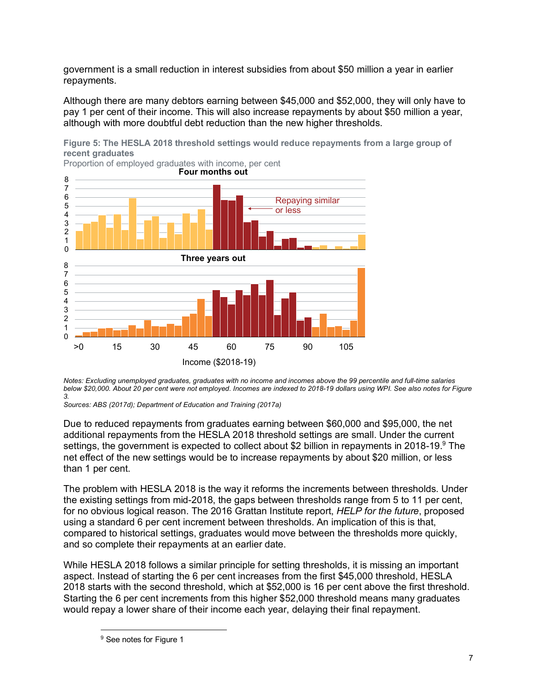government is a small reduction in interest subsidies from about \$50 million a year in earlier repayments.

Although there are many debtors earning between \$45,000 and \$52,000, they will only have to pay 1 per cent of their income. This will also increase repayments by about \$50 million a year, although with more doubtful debt reduction than the new higher thresholds.

**Figure 5: The HESLA 2018 threshold settings would reduce repayments from a large group of recent graduates**



Proportion of employed graduates with income, per cent

*Notes: Excluding unemployed graduates, graduates with no income and incomes above the 99 percentile and full-time salaries below \$20,000. About 20 per cent were not employed. Incomes are indexed to 2018-19 dollars using WPI. See also notes for Figure 3.* 

*Sources: ABS (2017d); Department of Education and Training (2017a)*

Due to reduced repayments from graduates earning between \$60,000 and \$95,000, the net additional repayments from the HESLA 2018 threshold settings are small. Under the current settings, the government is expected to collect about \$2 billion in repayments in 2018-19. $9$  The net effect of the new settings would be to increase repayments by about \$20 million, or less than 1 per cent.

The problem with HESLA 2018 is the way it reforms the increments between thresholds. Under the existing settings from mid-2018, the gaps between thresholds range from 5 to 11 per cent, for no obvious logical reason. The 2016 Grattan Institute report, *HELP for the future*, proposed using a standard 6 per cent increment between thresholds. An implication of this is that, compared to historical settings, graduates would move between the thresholds more quickly, and so complete their repayments at an earlier date.

While HESLA 2018 follows a similar principle for setting thresholds, it is missing an important aspect. Instead of starting the 6 per cent increases from the first \$45,000 threshold, HESLA 2018 starts with the second threshold, which at \$52,000 is 16 per cent above the first threshold. Starting the 6 per cent increments from this higher \$52,000 threshold means many graduates would repay a lower share of their income each year, delaying their final repayment.

<sup>&</sup>lt;sup>9</sup> See notes for Figure 1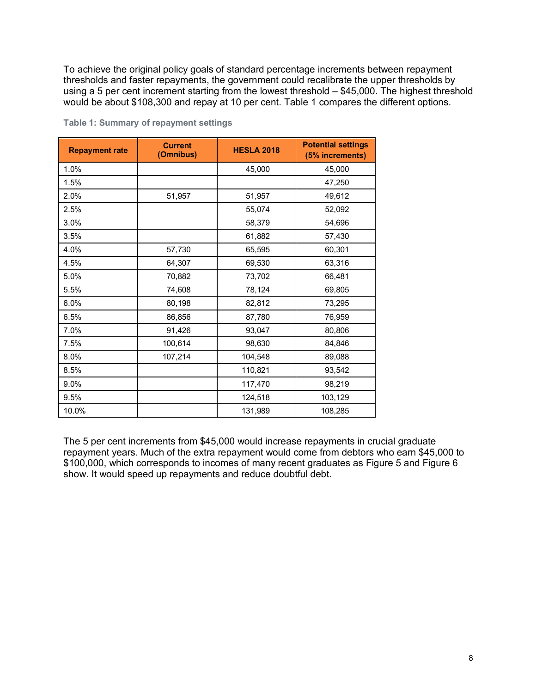To achieve the original policy goals of standard percentage increments between repayment thresholds and faster repayments, the government could recalibrate the upper thresholds by using a 5 per cent increment starting from the lowest threshold – \$45,000. The highest threshold would be about \$108,300 and repay at 10 per cent. Table 1 compares the different options.

| <b>Repayment rate</b> | <b>Current</b><br>(Omnibus) | <b>HESLA 2018</b> | <b>Potential settings</b><br>(5% increments) |
|-----------------------|-----------------------------|-------------------|----------------------------------------------|
| 1.0%                  |                             | 45,000            | 45,000                                       |
| 1.5%                  |                             |                   | 47,250                                       |
| 2.0%                  | 51,957                      | 51,957            | 49,612                                       |
| 2.5%                  |                             | 55,074            | 52,092                                       |
| 3.0%                  |                             | 58,379            | 54,696                                       |
| 3.5%                  |                             | 61,882            | 57,430                                       |
| 4.0%                  | 57,730                      | 65,595            | 60,301                                       |
| 4.5%                  | 64,307                      | 69,530            | 63,316                                       |
| 5.0%                  | 70,882                      | 73,702            | 66,481                                       |
| 5.5%                  | 74,608                      | 78,124            | 69,805                                       |
| 6.0%                  | 80,198                      | 82,812            | 73,295                                       |
| 6.5%                  | 86,856                      | 87,780            | 76,959                                       |
| 7.0%                  | 91,426                      | 93,047            | 80,806                                       |
| 7.5%                  | 100,614                     | 98,630            | 84,846                                       |
| 8.0%                  | 107,214                     | 104,548           | 89,088                                       |
| 8.5%                  |                             | 110,821           | 93,542                                       |
| 9.0%                  |                             | 117,470           | 98,219                                       |
| 9.5%                  |                             | 124,518           | 103,129                                      |
| 10.0%                 |                             | 131,989           | 108,285                                      |

**Table 1: Summary of repayment settings**

The 5 per cent increments from \$45,000 would increase repayments in crucial graduate repayment years. Much of the extra repayment would come from debtors who earn \$45,000 to \$100,000, which corresponds to incomes of many recent graduates as Figure 5 and Figure 6 show. It would speed up repayments and reduce doubtful debt.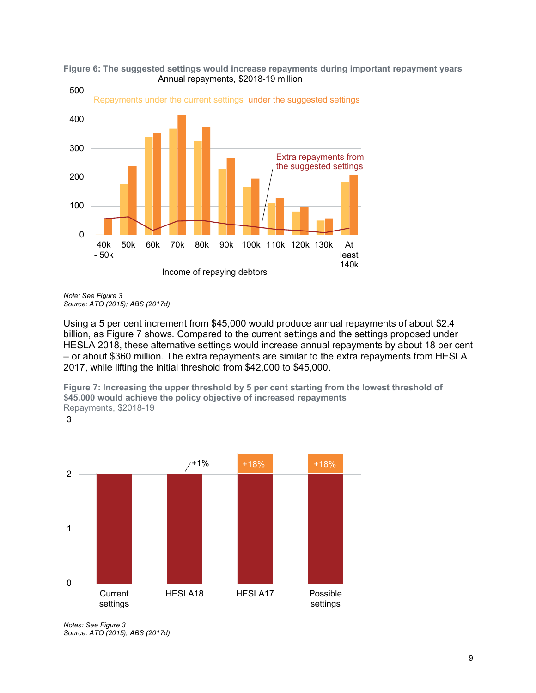



*Note: See Figure 3 Source: ATO (2015); ABS (2017d)*

3

Using a 5 per cent increment from \$45,000 would produce annual repayments of about \$2.4 billion, as Figure 7 shows. Compared to the current settings and the settings proposed under HESLA 2018, these alternative settings would increase annual repayments by about 18 per cent – or about \$360 million. The extra repayments are similar to the extra repayments from HESLA 2017, while lifting the initial threshold from \$42,000 to \$45,000.

**Figure 7: Increasing the upper threshold by 5 per cent starting from the lowest threshold of \$45,000 would achieve the policy objective of increased repayments** Repayments, \$2018-19



*Notes: See Figure 3 Source: ATO (2015); ABS (2017d)*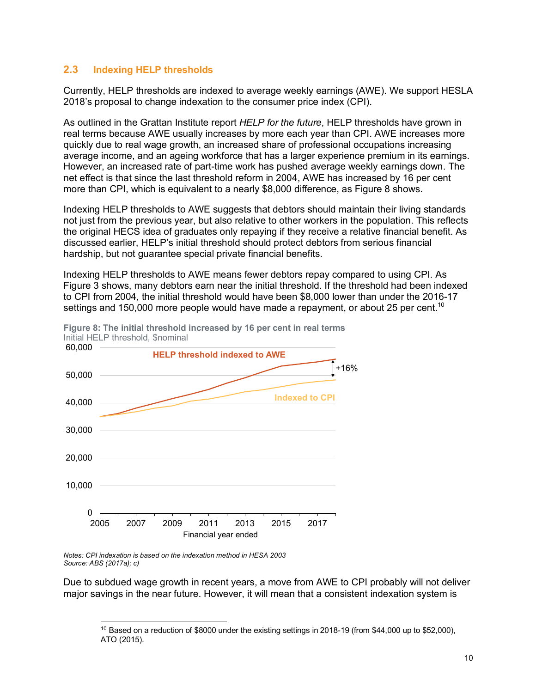#### **2.3 Indexing HELP thresholds**

Currently, HELP thresholds are indexed to average weekly earnings (AWE). We support HESLA 2018's proposal to change indexation to the consumer price index (CPI).

As outlined in the Grattan Institute report *HELP for the future*, HELP thresholds have grown in real terms because AWE usually increases by more each year than CPI. AWE increases more quickly due to real wage growth, an increased share of professional occupations increasing average income, and an ageing workforce that has a larger experience premium in its earnings. However, an increased rate of part-time work has pushed average weekly earnings down. The net effect is that since the last threshold reform in 2004, AWE has increased by 16 per cent more than CPI, which is equivalent to a nearly \$8,000 difference, as Figure 8 shows.

Indexing HELP thresholds to AWE suggests that debtors should maintain their living standards not just from the previous year, but also relative to other workers in the population. This reflects the original HECS idea of graduates only repaying if they receive a relative financial benefit. As discussed earlier, HELP's initial threshold should protect debtors from serious financial hardship, but not guarantee special private financial benefits.

Indexing HELP thresholds to AWE means fewer debtors repay compared to using CPI. As Figure 3 shows, many debtors earn near the initial threshold. If the threshold had been indexed to CPI from 2004, the initial threshold would have been \$8,000 lower than under the 2016-17 settings and 150,000 more people would have made a repayment, or about 25 per cent.<sup>10</sup>



**Figure 8: The initial threshold increased by 16 per cent in real terms** Initial HELP threshold, \$nominal

*Notes: CPI indexation is based on the indexation method in HESA 2003 Source: ABS (2017a); c)*

Due to subdued wage growth in recent years, a move from AWE to CPI probably will not deliver major savings in the near future. However, it will mean that a consistent indexation system is

 $\overline{a}$  $10$  Based on a reduction of \$8000 under the existing settings in 2018-19 (from \$44,000 up to \$52,000), ATO (2015).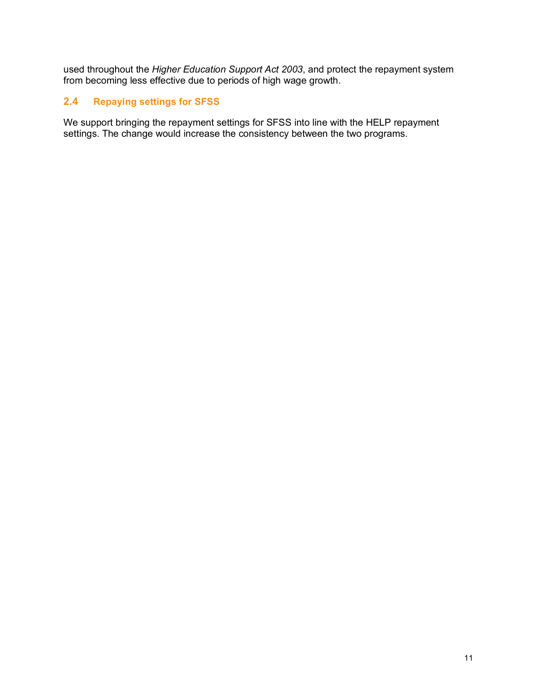used throughout the *Higher Education Support Act 2003*, and protect the repayment system from becoming less effective due to periods of high wage growth.

### **2.4 Repaying settings for SFSS**

We support bringing the repayment settings for SFSS into line with the HELP repayment settings. The change would increase the consistency between the two programs.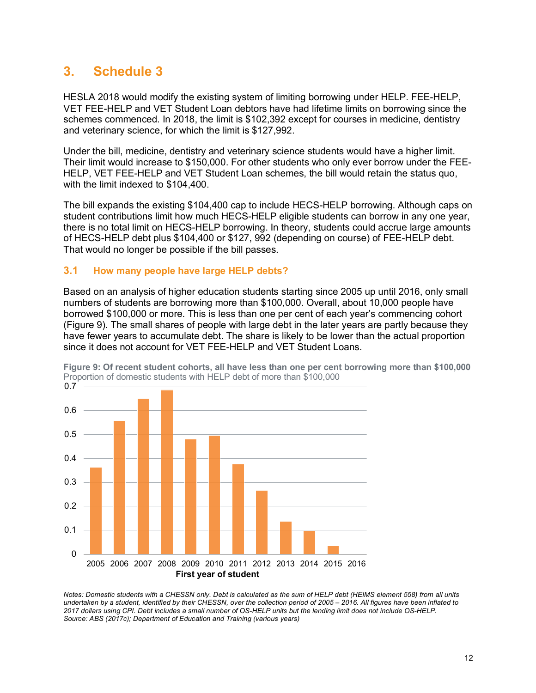### **3. Schedule 3**

HESLA 2018 would modify the existing system of limiting borrowing under HELP. FEE-HELP, VET FEE-HELP and VET Student Loan debtors have had lifetime limits on borrowing since the schemes commenced. In 2018, the limit is \$102,392 except for courses in medicine, dentistry and veterinary science, for which the limit is \$127,992.

Under the bill, medicine, dentistry and veterinary science students would have a higher limit. Their limit would increase to \$150,000. For other students who only ever borrow under the FEE-HELP, VET FEE-HELP and VET Student Loan schemes, the bill would retain the status quo, with the limit indexed to \$104,400.

The bill expands the existing \$104,400 cap to include HECS-HELP borrowing. Although caps on student contributions limit how much HECS-HELP eligible students can borrow in any one year, there is no total limit on HECS-HELP borrowing. In theory, students could accrue large amounts of HECS-HELP debt plus \$104,400 or \$127, 992 (depending on course) of FEE-HELP debt. That would no longer be possible if the bill passes.

#### **3.1 How many people have large HELP debts?**

Based on an analysis of higher education students starting since 2005 up until 2016, only small numbers of students are borrowing more than \$100,000. Overall, about 10,000 people have borrowed \$100,000 or more. This is less than one per cent of each year's commencing cohort (Figure 9). The small shares of people with large debt in the later years are partly because they have fewer years to accumulate debt. The share is likely to be lower than the actual proportion since it does not account for VET FEE-HELP and VET Student Loans.



**Figure 9: Of recent student cohorts, all have less than one per cent borrowing more than \$100,000** Proportion of domestic students with HELP debt of more than \$100,000

*Notes: Domestic students with a CHESSN only. Debt is calculated as the sum of HELP debt (HEIMS element 558) from all units undertaken by a student, identified by their CHESSN, over the collection period of 2005 – 2016. All figures have been inflated to 2017 dollars using CPI. Debt includes a small number of OS-HELP units but the lending limit does not include OS-HELP. Source: ABS (2017c); Department of Education and Training (various years)*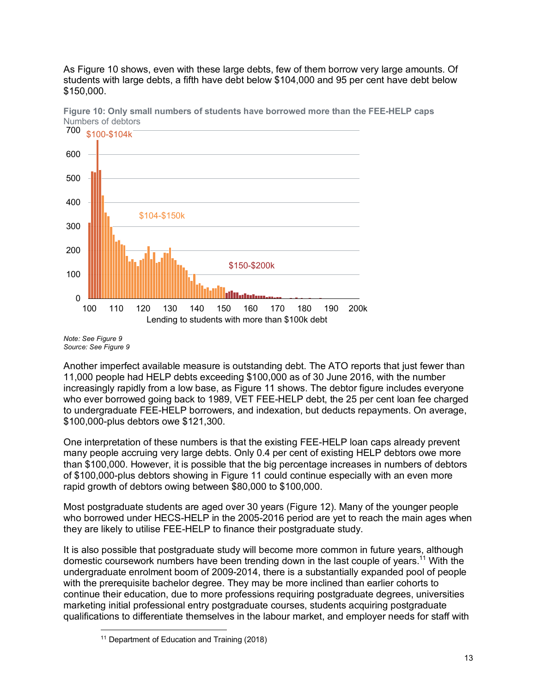As Figure 10 shows, even with these large debts, few of them borrow very large amounts. Of students with large debts, a fifth have debt below \$104,000 and 95 per cent have debt below \$150,000.



**Figure 10: Only small numbers of students have borrowed more than the FEE-HELP caps** Numbers of debtors

*Note: See Figure 9 Source: See Figure 9* 

Another imperfect available measure is outstanding debt. The ATO reports that just fewer than 11,000 people had HELP debts exceeding \$100,000 as of 30 June 2016, with the number increasingly rapidly from a low base, as Figure 11 shows. The debtor figure includes everyone who ever borrowed going back to 1989, VET FEE-HELP debt, the 25 per cent loan fee charged to undergraduate FEE-HELP borrowers, and indexation, but deducts repayments. On average, \$100,000-plus debtors owe \$121,300.

One interpretation of these numbers is that the existing FEE-HELP loan caps already prevent many people accruing very large debts. Only 0.4 per cent of existing HELP debtors owe more than \$100,000. However, it is possible that the big percentage increases in numbers of debtors of \$100,000-plus debtors showing in Figure 11 could continue especially with an even more rapid growth of debtors owing between \$80,000 to \$100,000.

Most postgraduate students are aged over 30 years (Figure 12). Many of the younger people who borrowed under HECS-HELP in the 2005-2016 period are yet to reach the main ages when they are likely to utilise FEE-HELP to finance their postgraduate study.

It is also possible that postgraduate study will become more common in future years, although domestic coursework numbers have been trending down in the last couple of years.<sup>11</sup> With the undergraduate enrolment boom of 2009-2014, there is a substantially expanded pool of people with the prerequisite bachelor degree. They may be more inclined than earlier cohorts to continue their education, due to more professions requiring postgraduate degrees, universities marketing initial professional entry postgraduate courses, students acquiring postgraduate qualifications to differentiate themselves in the labour market, and employer needs for staff with

 $\overline{a}$ <sup>11</sup> Department of Education and Training (2018)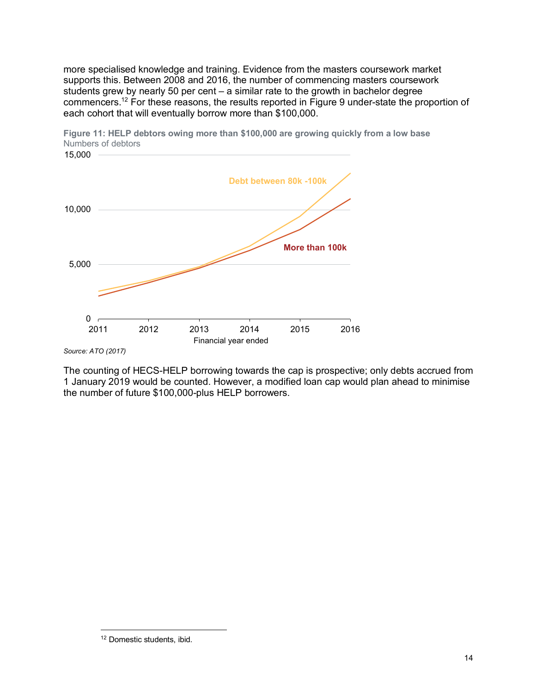more specialised knowledge and training. Evidence from the masters coursework market supports this. Between 2008 and 2016, the number of commencing masters coursework students grew by nearly 50 per cent – a similar rate to the growth in bachelor degree commencers.<sup>12</sup> For these reasons, the results reported in Figure 9 under-state the proportion of each cohort that will eventually borrow more than \$100,000.



**Figure 11: HELP debtors owing more than \$100,000 are growing quickly from a low base** Numbers of debtors 15,000

The counting of HECS-HELP borrowing towards the cap is prospective; only debts accrued from 1 January 2019 would be counted. However, a modified loan cap would plan ahead to minimise the number of future \$100,000-plus HELP borrowers.

*Source: ATO (2017)*

<sup>12</sup> Domestic students, ibid.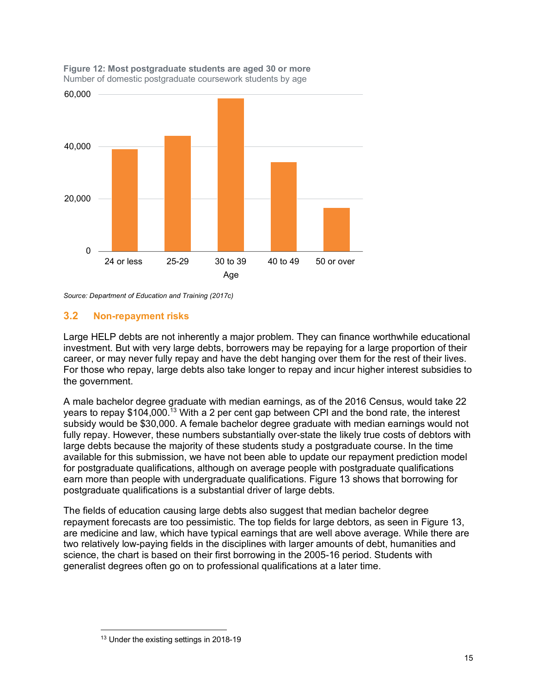

**Figure 12: Most postgraduate students are aged 30 or more**  Number of domestic postgraduate coursework students by age

*Source: Department of Education and Training (2017c)*

#### **3.2 Non-repayment risks**

Large HELP debts are not inherently a major problem. They can finance worthwhile educational investment. But with very large debts, borrowers may be repaying for a large proportion of their career, or may never fully repay and have the debt hanging over them for the rest of their lives. For those who repay, large debts also take longer to repay and incur higher interest subsidies to the government.

A male bachelor degree graduate with median earnings, as of the 2016 Census, would take 22 years to repay \$104,000.<sup>13</sup> With a 2 per cent gap between CPI and the bond rate, the interest subsidy would be \$30,000. A female bachelor degree graduate with median earnings would not fully repay. However, these numbers substantially over-state the likely true costs of debtors with large debts because the majority of these students study a postgraduate course. In the time available for this submission, we have not been able to update our repayment prediction model for postgraduate qualifications, although on average people with postgraduate qualifications earn more than people with undergraduate qualifications. Figure 13 shows that borrowing for postgraduate qualifications is a substantial driver of large debts.

The fields of education causing large debts also suggest that median bachelor degree repayment forecasts are too pessimistic. The top fields for large debtors, as seen in Figure 13, are medicine and law, which have typical earnings that are well above average. While there are two relatively low-paying fields in the disciplines with larger amounts of debt, humanities and science, the chart is based on their first borrowing in the 2005-16 period. Students with generalist degrees often go on to professional qualifications at a later time.

<sup>&</sup>lt;sup>13</sup> Under the existing settings in 2018-19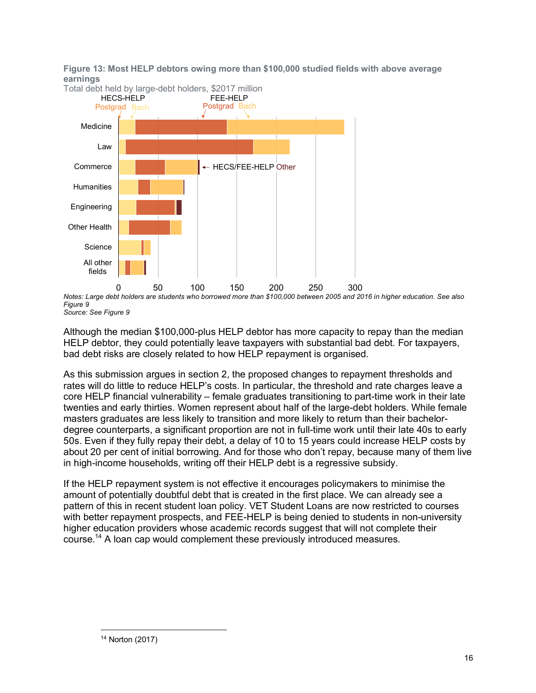**Figure 13: Most HELP debtors owing more than \$100,000 studied fields with above average earnings** 



*Notes: Large debt holders are students who borrowed more than \$100,000 between 2005 and 2016 in higher education. See also Figure 9 Source: See Figure 9* 

Although the median \$100,000-plus HELP debtor has more capacity to repay than the median HELP debtor, they could potentially leave taxpayers with substantial bad debt. For taxpayers, bad debt risks are closely related to how HELP repayment is organised.

As this submission argues in section 2, the proposed changes to repayment thresholds and rates will do little to reduce HELP's costs. In particular, the threshold and rate charges leave a core HELP financial vulnerability – female graduates transitioning to part-time work in their late twenties and early thirties. Women represent about half of the large-debt holders. While female masters graduates are less likely to transition and more likely to return than their bachelordegree counterparts, a significant proportion are not in full-time work until their late 40s to early 50s. Even if they fully repay their debt, a delay of 10 to 15 years could increase HELP costs by about 20 per cent of initial borrowing. And for those who don't repay, because many of them live in high-income households, writing off their HELP debt is a regressive subsidy.

If the HELP repayment system is not effective it encourages policymakers to minimise the amount of potentially doubtful debt that is created in the first place. We can already see a pattern of this in recent student loan policy. VET Student Loans are now restricted to courses with better repayment prospects, and FEE-HELP is being denied to students in non-university higher education providers whose academic records suggest that will not complete their course.<sup>14</sup> A loan cap would complement these previously introduced measures.

<sup>14</sup> Norton (2017)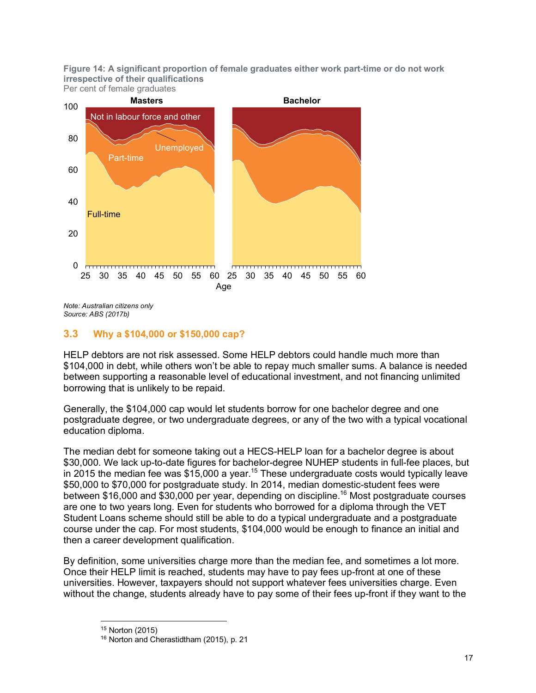**Figure 14: A significant proportion of female graduates either work part-time or do not work irrespective of their qualifications** Per cent of female graduates



*Note: Australian citizens only Source: ABS (2017b)*

### **3.3 Why a \$104,000 or \$150,000 cap?**

HELP debtors are not risk assessed. Some HELP debtors could handle much more than \$104,000 in debt, while others won't be able to repay much smaller sums. A balance is needed between supporting a reasonable level of educational investment, and not financing unlimited borrowing that is unlikely to be repaid.

Generally, the \$104,000 cap would let students borrow for one bachelor degree and one postgraduate degree, or two undergraduate degrees, or any of the two with a typical vocational education diploma.

The median debt for someone taking out a HECS-HELP loan for a bachelor degree is about \$30,000. We lack up-to-date figures for bachelor-degree NUHEP students in full-fee places, but in 2015 the median fee was  $$15,000$  a year.<sup>15</sup> These undergraduate costs would typically leave \$50,000 to \$70,000 for postgraduate study. In 2014, median domestic-student fees were between \$16,000 and \$30,000 per year, depending on discipline.<sup>16</sup> Most postgraduate courses are one to two years long. Even for students who borrowed for a diploma through the VET Student Loans scheme should still be able to do a typical undergraduate and a postgraduate course under the cap. For most students, \$104,000 would be enough to finance an initial and then a career development qualification.

By definition, some universities charge more than the median fee, and sometimes a lot more. Once their HELP limit is reached, students may have to pay fees up-front at one of these universities. However, taxpayers should not support whatever fees universities charge. Even without the change, students already have to pay some of their fees up-front if they want to the

 $\overline{a}$ <sup>15</sup> Norton (2015)

<sup>16</sup> Norton and Cherastidtham (2015), p. 21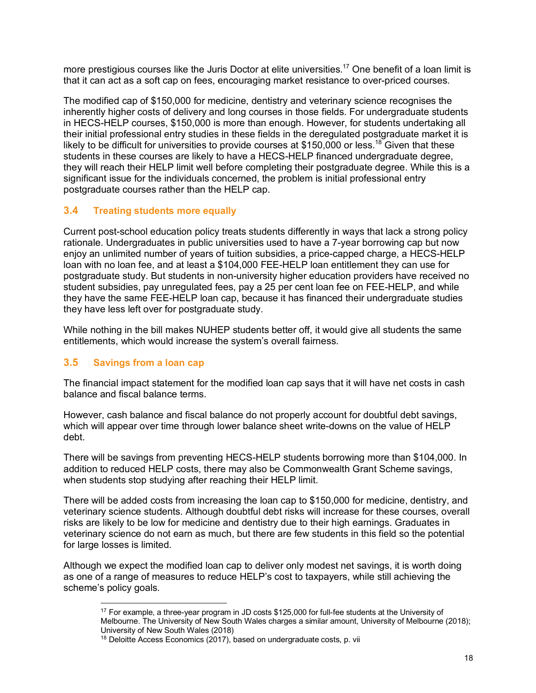more prestigious courses like the Juris Doctor at elite universities.<sup>17</sup> One benefit of a loan limit is that it can act as a soft cap on fees, encouraging market resistance to over-priced courses.

The modified cap of \$150,000 for medicine, dentistry and veterinary science recognises the inherently higher costs of delivery and long courses in those fields. For undergraduate students in HECS-HELP courses, \$150,000 is more than enough. However, for students undertaking all their initial professional entry studies in these fields in the deregulated postgraduate market it is likely to be difficult for universities to provide courses at \$150,000 or less.<sup>18</sup> Given that these students in these courses are likely to have a HECS-HELP financed undergraduate degree, they will reach their HELP limit well before completing their postgraduate degree. While this is a significant issue for the individuals concerned, the problem is initial professional entry postgraduate courses rather than the HELP cap.

### **3.4 Treating students more equally**

Current post-school education policy treats students differently in ways that lack a strong policy rationale. Undergraduates in public universities used to have a 7-year borrowing cap but now enjoy an unlimited number of years of tuition subsidies, a price-capped charge, a HECS-HELP loan with no loan fee, and at least a \$104,000 FEE-HELP loan entitlement they can use for postgraduate study. But students in non-university higher education providers have received no student subsidies, pay unregulated fees, pay a 25 per cent loan fee on FEE-HELP, and while they have the same FEE-HELP loan cap, because it has financed their undergraduate studies they have less left over for postgraduate study.

While nothing in the bill makes NUHEP students better off, it would give all students the same entitlements, which would increase the system's overall fairness.

### **3.5 Savings from a loan cap**

The financial impact statement for the modified loan cap says that it will have net costs in cash balance and fiscal balance terms.

However, cash balance and fiscal balance do not properly account for doubtful debt savings, which will appear over time through lower balance sheet write-downs on the value of HELP debt.

There will be savings from preventing HECS-HELP students borrowing more than \$104,000. In addition to reduced HELP costs, there may also be Commonwealth Grant Scheme savings, when students stop studying after reaching their HELP limit.

There will be added costs from increasing the loan cap to \$150,000 for medicine, dentistry, and veterinary science students. Although doubtful debt risks will increase for these courses, overall risks are likely to be low for medicine and dentistry due to their high earnings. Graduates in veterinary science do not earn as much, but there are few students in this field so the potential for large losses is limited.

Although we expect the modified loan cap to deliver only modest net savings, it is worth doing as one of a range of measures to reduce HELP's cost to taxpayers, while still achieving the scheme's policy goals.

 $\overline{a}$ <sup>17</sup> For example, a three-year program in JD costs \$125,000 for full-fee students at the University of Melbourne. The University of New South Wales charges a similar amount, University of Melbourne (2018); University of New South Wales (2018)

<sup>&</sup>lt;sup>18</sup> Deloitte Access Economics (2017), based on undergraduate costs, p. vii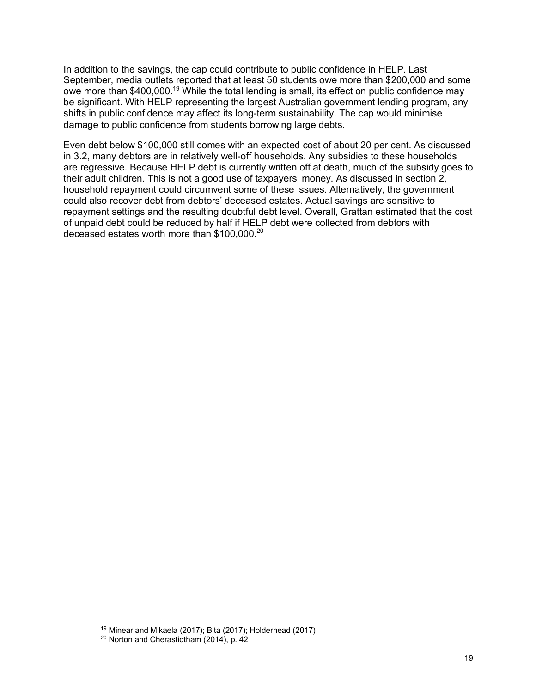In addition to the savings, the cap could contribute to public confidence in HELP. Last September, media outlets reported that at least 50 students owe more than \$200,000 and some owe more than \$400,000.<sup>19</sup> While the total lending is small, its effect on public confidence may be significant. With HELP representing the largest Australian government lending program, any shifts in public confidence may affect its long-term sustainability. The cap would minimise damage to public confidence from students borrowing large debts.

Even debt below \$100,000 still comes with an expected cost of about 20 per cent. As discussed in 3.2, many debtors are in relatively well-off households. Any subsidies to these households are regressive. Because HELP debt is currently written off at death, much of the subsidy goes to their adult children. This is not a good use of taxpayers' money. As discussed in section 2, household repayment could circumvent some of these issues. Alternatively, the government could also recover debt from debtors' deceased estates. Actual savings are sensitive to repayment settings and the resulting doubtful debt level. Overall, Grattan estimated that the cost of unpaid debt could be reduced by half if HELP debt were collected from debtors with deceased estates worth more than \$100,000.<sup>20</sup>

 $19$  Minear and Mikaela (2017); Bita (2017); Holderhead (2017)

<sup>20</sup> Norton and Cherastidtham (2014), p. 42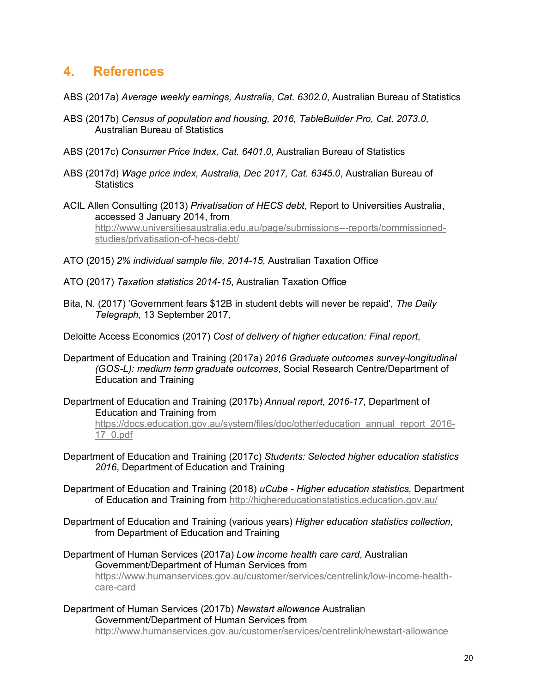### **4. References**

- ABS (2017a) *Average weekly earnings, Australia, Cat. 6302.0*, Australian Bureau of Statistics
- ABS (2017b) *Census of population and housing, 2016, TableBuilder Pro, Cat. 2073.0*, Australian Bureau of Statistics
- ABS (2017c) *Consumer Price Index, Cat. 6401.0*, Australian Bureau of Statistics
- ABS (2017d) *Wage price index, Australia, Dec 2017, Cat. 6345.0*, Australian Bureau of **Statistics**
- ACIL Allen Consulting (2013) *Privatisation of HECS debt*, Report to Universities Australia, accessed 3 January 2014, from

http://www.universitiesaustralia.edu.au/page/submissions---reports/commissionedstudies/privatisation-of-hecs-debt/

- ATO (2015) *2% individual sample file, 2014-15*, Australian Taxation Office
- ATO (2017) *Taxation statistics 2014-15*, Australian Taxation Office
- Bita, N. (2017) 'Government fears \$12B in student debts will never be repaid', *The Daily Telegraph,* 13 September 2017,
- Deloitte Access Economics (2017) *Cost of delivery of higher education: Final report*,
- Department of Education and Training (2017a) *2016 Graduate outcomes survey-longitudinal (GOS-L): medium term graduate outcomes*, Social Research Centre/Department of Education and Training
- Department of Education and Training (2017b) *Annual report, 2016-17*, Department of Education and Training from https://docs.education.gov.au/system/files/doc/other/education\_annual\_report\_2016- 17\_0.pdf
- Department of Education and Training (2017c) *Students: Selected higher education statistics 2016*, Department of Education and Training
- Department of Education and Training (2018) *uCube Higher education statistics*, Department of Education and Training from http://highereducationstatistics.education.gov.au/
- Department of Education and Training (various years) *Higher education statistics collection*, from Department of Education and Training
- Department of Human Services (2017a) *Low income health care card*, Australian Government/Department of Human Services from https://www.humanservices.gov.au/customer/services/centrelink/low-income-healthcare-card
- Department of Human Services (2017b) *Newstart allowance* Australian Government/Department of Human Services from http://www.humanservices.gov.au/customer/services/centrelink/newstart-allowance